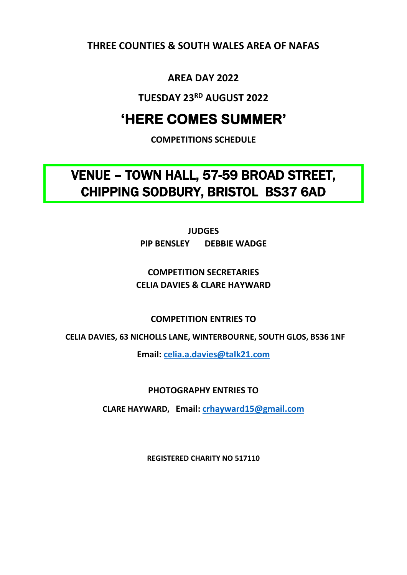**THREE COUNTIES & SOUTH WALES AREA OF NAFAS**

# **AREA DAY 2022**

**TUESDAY 23RD AUGUST 2022**

# **'HERE COMES SUMMER'**

**COMPETITIONS SCHEDULE**

VENUE – TOWN HALL, 57-59 BROAD STREET, CHIPPING SODBURY, BRISTOL BS37 6AD

> **JUDGES PIP BENSLEY DEBBIE WADGE**

## **COMPETITION SECRETARIES CELIA DAVIES & CLARE HAYWARD**

**COMPETITION ENTRIES TO** 

 **CELIA DAVIES, 63 NICHOLLS LANE, WINTERBOURNE, SOUTH GLOS, BS36 1NF**

**Email: [celia.a.davies@talk21.com](mailto:celia.a.davies@talk21.com)**

**PHOTOGRAPHY ENTRIES TO**

**CLARE HAYWARD, Email: [crhayward15@gmail.com](mailto:crhayward15@gmail.com)**

**REGISTERED CHARITY NO 517110**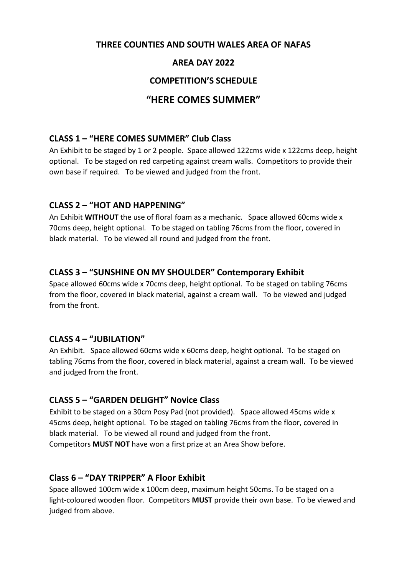#### **THREE COUNTIES AND SOUTH WALES AREA OF NAFAS**

## **AREA DAY 2022**

#### **COMPETITION'S SCHEDULE**

## **"HERE COMES SUMMER"**

#### **CLASS 1 – "HERE COMES SUMMER" Club Class**

An Exhibit to be staged by 1 or 2 people. Space allowed 122cms wide x 122cms deep, height optional. To be staged on red carpeting against cream walls. Competitors to provide their own base if required. To be viewed and judged from the front.

## **CLASS 2 – "HOT AND HAPPENING"**

An Exhibit **WITHOUT** the use of floral foam as a mechanic. Space allowed 60cms wide x 70cms deep, height optional. To be staged on tabling 76cms from the floor, covered in black material. To be viewed all round and judged from the front.

## **CLASS 3 – "SUNSHINE ON MY SHOULDER" Contemporary Exhibit**

Space allowed 60cms wide x 70cms deep, height optional. To be staged on tabling 76cms from the floor, covered in black material, against a cream wall. To be viewed and judged from the front.

#### **CLASS 4 – "JUBILATION"**

An Exhibit. Space allowed 60cms wide x 60cms deep, height optional. To be staged on tabling 76cms from the floor, covered in black material, against a cream wall. To be viewed and judged from the front.

## **CLASS 5 – "GARDEN DELIGHT" Novice Class**

Exhibit to be staged on a 30cm Posy Pad (not provided). Space allowed 45cms wide x 45cms deep, height optional. To be staged on tabling 76cms from the floor, covered in black material. To be viewed all round and judged from the front. Competitors **MUST NOT** have won a first prize at an Area Show before.

#### **Class 6 – "DAY TRIPPER" A Floor Exhibit**

Space allowed 100cm wide x 100cm deep, maximum height 50cms. To be staged on a light-coloured wooden floor. Competitors **MUST** provide their own base. To be viewed and judged from above.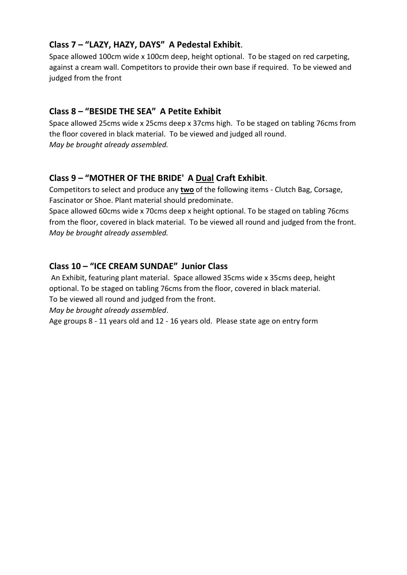## **Class 7 – "LAZY, HAZY, DAYS" A Pedestal Exhibit**.

Space allowed 100cm wide x 100cm deep, height optional. To be staged on red carpeting, against a cream wall. Competitors to provide their own base if required. To be viewed and judged from the front

## **Class 8 – "BESIDE THE SEA" A Petite Exhibit**

Space allowed 25cms wide x 25cms deep x 37cms high. To be staged on tabling 76cms from the floor covered in black material. To be viewed and judged all round. *May be brought already assembled.*

# **Class 9 – "MOTHER OF THE BRIDE' A Dual Craft Exhibit**.

Competitors to select and produce any **two** of the following items - Clutch Bag, Corsage, Fascinator or Shoe. Plant material should predominate.

Space allowed 60cms wide x 70cms deep x height optional. To be staged on tabling 76cms from the floor, covered in black material. To be viewed all round and judged from the front. *May be brought already assembled.*

# **Class 10 – "ICE CREAM SUNDAE" Junior Class**

An Exhibit, featuring plant material. Space allowed 35cms wide x 35cms deep, height optional. To be staged on tabling 76cms from the floor, covered in black material. To be viewed all round and judged from the front.

*May be brought already assembled*.

Age groups 8 - 11 years old and 12 - 16 years old. Please state age on entry form